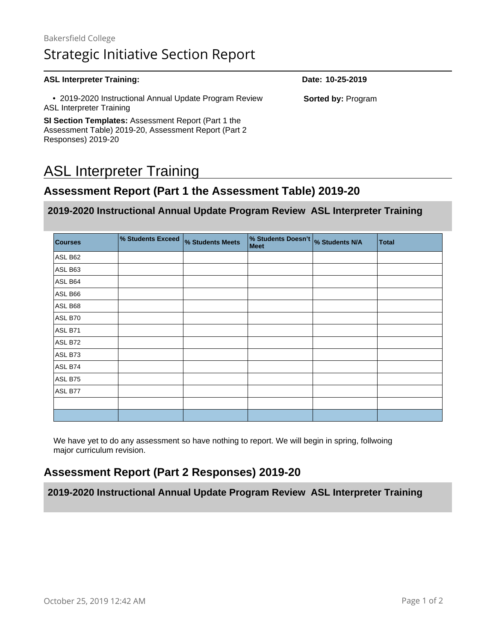#### **ASL Interpreter Training: Date: 10-25-2019** • 2019-2020 Instructional Annual Update Program Review ASL Interpreter Training **SI Section Templates:** Assessment Report (Part 1 the Assessment Table) 2019-20, Assessment Report (Part 2 Responses) 2019-20 **Sorted by:** Program

# ASL Interpreter Training

# **Assessment Report (Part 1 the Assessment Table) 2019-20**

#### **2019-2020 Instructional Annual Update Program Review ASL Interpreter Training**

| <b>Courses</b> | % Students Exceed | % Students Meets | % Students Doesn't<br>Meet | % Students N/A | <b>Total</b> |
|----------------|-------------------|------------------|----------------------------|----------------|--------------|
| ASL B62        |                   |                  |                            |                |              |
| ASL B63        |                   |                  |                            |                |              |
| ASL B64        |                   |                  |                            |                |              |
| ASL B66        |                   |                  |                            |                |              |
| ASL B68        |                   |                  |                            |                |              |
| ASL B70        |                   |                  |                            |                |              |
| ASL B71        |                   |                  |                            |                |              |
| ASL B72        |                   |                  |                            |                |              |
| ASL B73        |                   |                  |                            |                |              |
| ASL B74        |                   |                  |                            |                |              |
| ASL B75        |                   |                  |                            |                |              |
| ASL B77        |                   |                  |                            |                |              |
|                |                   |                  |                            |                |              |
|                |                   |                  |                            |                |              |

We have yet to do any assessment so have nothing to report. We will begin in spring, follwoing major curriculum revision.

# **Assessment Report (Part 2 Responses) 2019-20**

**2019-2020 Instructional Annual Update Program Review ASL Interpreter Training**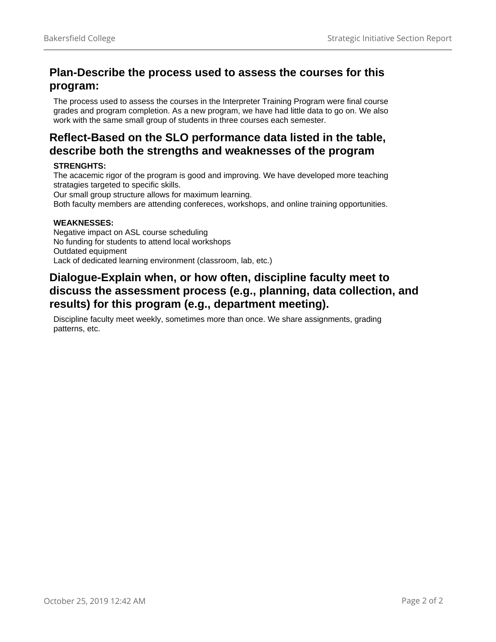#### **Plan-Describe the process used to assess the courses for this program:**

The process used to assess the courses in the Interpreter Training Program were final course grades and program completion. As a new program, we have had little data to go on. We also work with the same small group of students in three courses each semester.

### **Reflect-Based on the SLO performance data listed in the table, describe both the strengths and weaknesses of the program**

#### **STRENGHTS:**

The acacemic rigor of the program is good and improving. We have developed more teaching stratagies targeted to specific skills.

Our small group structure allows for maximum learning.

Both faculty members are attending confereces, workshops, and online training opportunities.

#### **WEAKNESSES:**

Negative impact on ASL course scheduling No funding for students to attend local workshops Outdated equipment Lack of dedicated learning environment (classroom, lab, etc.)

#### **Dialogue-Explain when, or how often, discipline faculty meet to discuss the assessment process (e.g., planning, data collection, and results) for this program (e.g., department meeting).**

Discipline faculty meet weekly, sometimes more than once. We share assignments, grading patterns, etc.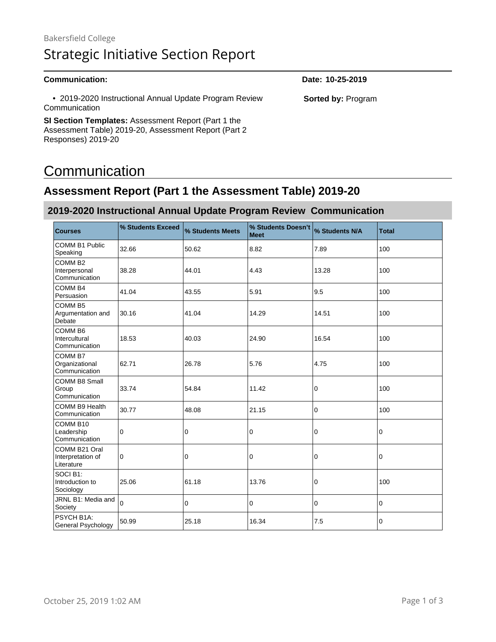• 2019-2020 Instructional Annual Update Program Review Communication

**SI Section Templates:** Assessment Report (Part 1 the Assessment Table) 2019-20, Assessment Report (Part 2 Responses) 2019-20

# **Communication**

# **Assessment Report (Part 1 the Assessment Table) 2019-20**

#### **2019-2020 Instructional Annual Update Program Review Communication**

| <b>Courses</b>                                        | % Students Exceed | % Students Meets | % Students Doesn't<br><b>Meet</b> | % Students N/A | <b>Total</b> |
|-------------------------------------------------------|-------------------|------------------|-----------------------------------|----------------|--------------|
| <b>COMM B1 Public</b><br>Speaking                     | 32.66             | 50.62            | 8.82                              | 7.89           | 100          |
| COMM <sub>B2</sub><br>Interpersonal<br>Communication  | 38.28             | 44.01            | 4.43                              | 13.28          | 100          |
| COMM <sub>B4</sub><br>Persuasion                      | 41.04             | 43.55            | 5.91                              | 9.5            | 100          |
| COMM <sub>B5</sub><br>Argumentation and<br>Debate     | 30.16             | 41.04            | 14.29                             | 14.51          | 100          |
| COMM <sub>B6</sub><br>Intercultural<br>Communication  | 18.53             | 40.03            | 24.90                             | 16.54          | 100          |
| COMM <sub>B7</sub><br>Organizational<br>Communication | 62.71             | 26.78            | 5.76                              | 4.75           | 100          |
| <b>COMM B8 Small</b><br>Group<br>Communication        | 33.74             | 54.84            | 11.42                             | 0              | 100          |
| COMM B9 Health<br>Communication                       | 30.77             | 48.08            | 21.15                             | 0              | 100          |
| COMM B10<br>Leadership<br>Communication               | 0                 | 0                | 0                                 | 0              | 0            |
| COMM B21 Oral<br>Interpretation of<br>Literature      | 0                 | 0                | 0                                 | 0              | 0            |
| SOCIB1:<br>Introduction to<br>Sociology               | 25.06             | 61.18            | 13.76                             | 0              | 100          |
| JRNL B1: Media and<br>Society                         | $\Omega$          | 0                | 0                                 | 0              | 0            |
| PSYCH B1A:<br>General Psychology                      | 50.99             | 25.18            | 16.34                             | 7.5            | 0            |

**Communication: Date: 10-25-2019**

**Sorted by:** Program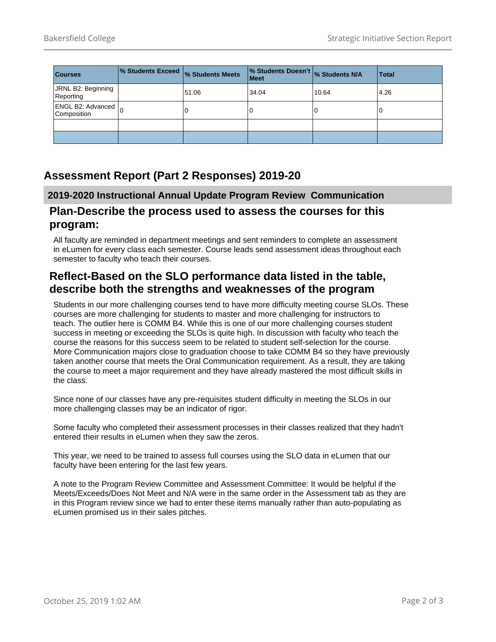| <b>Courses</b>                   | 1% Students Exceed  % Students Meets |       | % Students Doesn't % Students N/A<br>  Meet |       | Total |
|----------------------------------|--------------------------------------|-------|---------------------------------------------|-------|-------|
| JRNL B2: Beginning<br>Reporting  |                                      | 51.06 | 34.04                                       | 10.64 | 4.26  |
| ENGL B2: Advanced<br>Composition |                                      |       | 0                                           | U     |       |
|                                  |                                      |       |                                             |       |       |
|                                  |                                      |       |                                             |       |       |

### **Assessment Report (Part 2 Responses) 2019-20**

#### **2019-2020 Instructional Annual Update Program Review Communication**

#### **Plan-Describe the process used to assess the courses for this program:**

All faculty are reminded in department meetings and sent reminders to complete an assessment in eLumen for every class each semester. Course leads send assessment ideas throughout each semester to faculty who teach their courses.

#### **Reflect-Based on the SLO performance data listed in the table, describe both the strengths and weaknesses of the program**

Students in our more challenging courses tend to have more difficulty meeting course SLOs. These courses are more challenging for students to master and more challenging for instructors to teach. The outlier here is COMM B4. While this is one of our more challenging courses student success in meeting or exceeding the SLOs is quite high. In discussion with faculty who teach the course the reasons for this success seem to be related to student self-selection for the course. More Communication majors close to graduation choose to take COMM B4 so they have previously taken another course that meets the Oral Communication requirement. As a result, they are taking the course to meet a major requirement and they have already mastered the most difficult skills in the class.

Since none of our classes have any pre-requisites student difficulty in meeting the SLOs in our more challenging classes may be an indicator of rigor.

Some faculty who completed their assessment processes in their classes realized that they hadn't entered their results in eLumen when they saw the zeros.

This year, we need to be trained to assess full courses using the SLO data in eLumen that our faculty have been entering for the last few years.

A note to the Program Review Committee and Assessment Committee: It would be helpful if the Meets/Exceeds/Does Not Meet and N/A were in the same order in the Assessment tab as they are in this Program review since we had to enter these items manually rather than auto-populating as eLumen promised us in their sales pitches.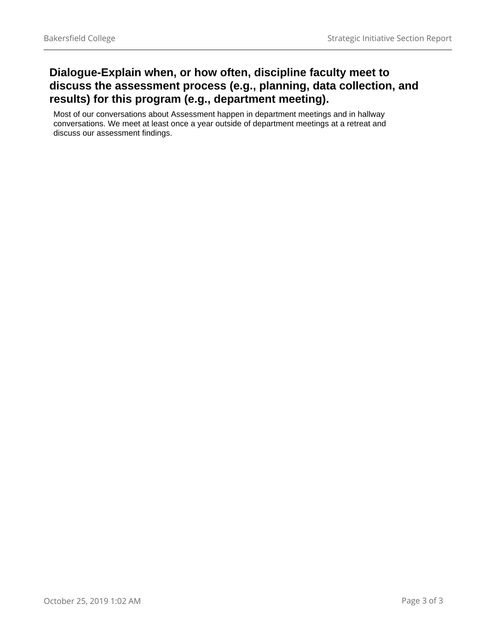### **Dialogue-Explain when, or how often, discipline faculty meet to discuss the assessment process (e.g., planning, data collection, and results) for this program (e.g., department meeting).**

Most of our conversations about Assessment happen in department meetings and in hallway conversations. We meet at least once a year outside of department meetings at a retreat and discuss our assessment findings.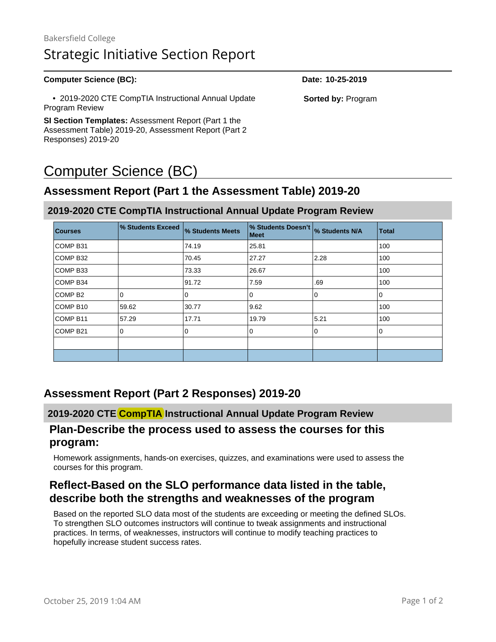#### **Computer Science (BC): Date: 10-25-2019**

 • 2019-2020 CTE CompTIA Instructional Annual Update Program Review

**SI Section Templates:** Assessment Report (Part 1 the Assessment Table) 2019-20, Assessment Report (Part 2 Responses) 2019-20

# Computer Science (BC)

### **Assessment Report (Part 1 the Assessment Table) 2019-20**

#### **2019-2020 CTE CompTIA Instructional Annual Update Program Review**

| <b>Courses</b>      | % Students Exceed | <b>% Students Meets</b> | % Students Doesn't<br><b>Meet</b> | % Students N/A | <b>Total</b> |
|---------------------|-------------------|-------------------------|-----------------------------------|----------------|--------------|
| COMP <sub>B31</sub> |                   | 74.19                   | 25.81                             |                | 100          |
| COMP B32            |                   | 70.45                   | 27.27                             | 2.28           | 100          |
| COMP B33            |                   | 73.33                   | 26.67                             |                | 100          |
| COMP B34            |                   | 91.72                   | 7.59                              | .69            | 100          |
| COMP <sub>B2</sub>  | $\Omega$          | 0                       | $\Omega$                          | $\Omega$       | 0            |
| COMP B10            | 59.62             | 30.77                   | 9.62                              |                | 100          |
| COMP <sub>B11</sub> | 57.29             | 17.71                   | 19.79                             | 5.21           | 100          |
| COMP <sub>B21</sub> | 0                 | 0                       | 0                                 | 0              | 0            |
|                     |                   |                         |                                   |                |              |
|                     |                   |                         |                                   |                |              |

#### **Assessment Report (Part 2 Responses) 2019-20**

#### **2019-2020 CTE CompTIA Instructional Annual Update Program Review**

#### **Plan-Describe the process used to assess the courses for this program:**

Homework assignments, hands-on exercises, quizzes, and examinations were used to assess the courses for this program.

#### **Reflect-Based on the SLO performance data listed in the table, describe both the strengths and weaknesses of the program**

Based on the reported SLO data most of the students are exceeding or meeting the defined SLOs. To strengthen SLO outcomes instructors will continue to tweak assignments and instructional practices. In terms, of weaknesses, instructors will continue to modify teaching practices to hopefully increase student success rates.

**Sorted by:** Program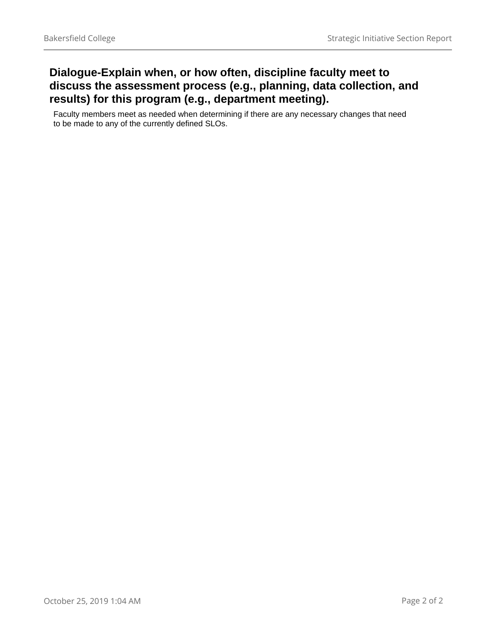### **Dialogue-Explain when, or how often, discipline faculty meet to discuss the assessment process (e.g., planning, data collection, and results) for this program (e.g., department meeting).**

Faculty members meet as needed when determining if there are any necessary changes that need to be made to any of the currently defined SLOs.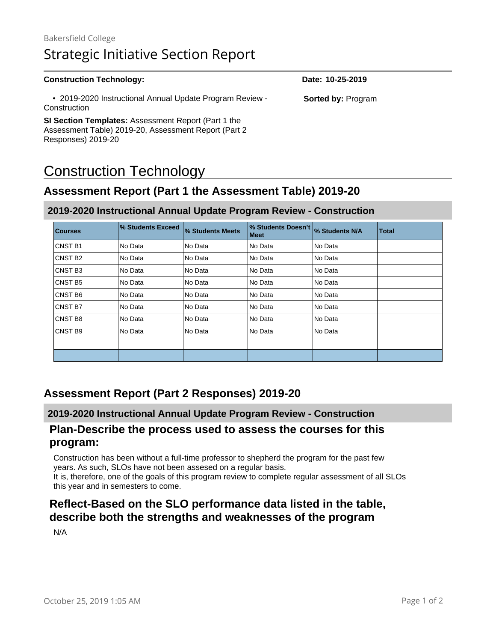#### **Construction Technology: Date: 10-25-2019** • 2019-2020 Instructional Annual Update Program Review - **Construction SI Section Templates:** Assessment Report (Part 1 the Assessment Table) 2019-20, Assessment Report (Part 2 Responses) 2019-20 **Sorted by:** Program

# Construction Technology

# **Assessment Report (Part 1 the Assessment Table) 2019-20**

#### **2019-2020 Instructional Annual Update Program Review - Construction**

| <b>Courses</b>      | % Students Exceed | % Students Meets | % Students Doesn't<br><b>Meet</b> | % Students N/A | <b>Total</b> |
|---------------------|-------------------|------------------|-----------------------------------|----------------|--------------|
| CNST <sub>B1</sub>  | No Data           | No Data          | No Data                           | No Data        |              |
| CNST B <sub>2</sub> | No Data           | No Data          | No Data                           | No Data        |              |
| CNST <sub>B3</sub>  | No Data           | No Data          | No Data                           | l No Data      |              |
| <b>CNST B5</b>      | No Data           | No Data          | No Data                           | No Data        |              |
| CNST <sub>B6</sub>  | No Data           | No Data          | No Data                           | No Data        |              |
| <b>CNST B7</b>      | No Data           | No Data          | No Data                           | No Data        |              |
| CNST <sub>B8</sub>  | No Data           | No Data          | No Data                           | No Data        |              |
| CNST <sub>B9</sub>  | No Data           | No Data          | No Data                           | l No Data      |              |
|                     |                   |                  |                                   |                |              |
|                     |                   |                  |                                   |                |              |

#### **Assessment Report (Part 2 Responses) 2019-20**

#### **2019-2020 Instructional Annual Update Program Review - Construction**

#### **Plan-Describe the process used to assess the courses for this program:**

Construction has been without a full-time professor to shepherd the program for the past few years. As such, SLOs have not been assesed on a regular basis.

It is, therefore, one of the goals of this program review to complete regular assessment of all SLOs this year and in semesters to come.

#### **Reflect-Based on the SLO performance data listed in the table, describe both the strengths and weaknesses of the program**

N/A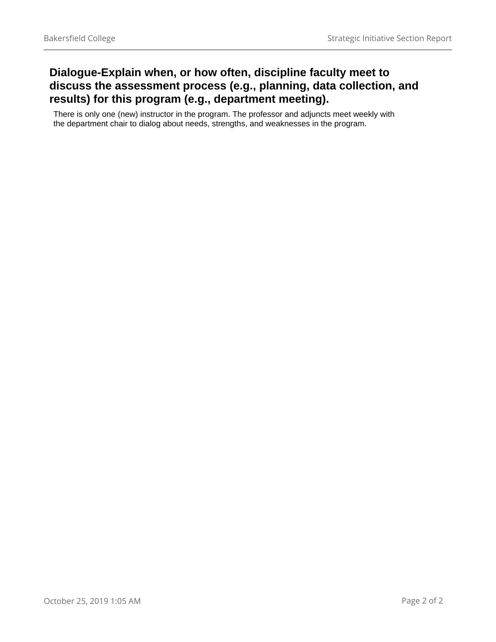### **Dialogue-Explain when, or how often, discipline faculty meet to discuss the assessment process (e.g., planning, data collection, and results) for this program (e.g., department meeting).**

There is only one (new) instructor in the program. The professor and adjuncts meet weekly with the department chair to dialog about needs, strengths, and weaknesses in the program.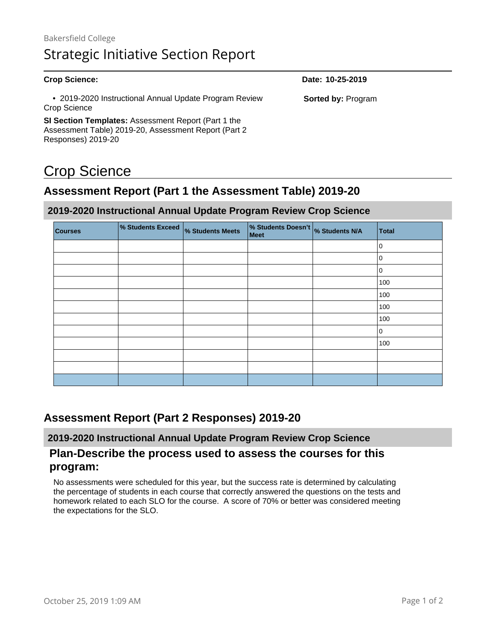| <b>Crop Science:</b>                                                                                                                     | Date: 10-25-2019          |
|------------------------------------------------------------------------------------------------------------------------------------------|---------------------------|
| • 2019-2020 Instructional Annual Update Program Review<br>Crop Science                                                                   | <b>Sorted by: Program</b> |
| <b>SI Section Templates:</b> Assessment Report (Part 1 the<br>Assessment Table) 2019-20, Assessment Report (Part 2<br>Responses) 2019-20 |                           |

# Crop Science

# **Assessment Report (Part 1 the Assessment Table) 2019-20**

#### **2019-2020 Instructional Annual Update Program Review Crop Science**

| <b>Courses</b> | % Students Exceed | % Students Meets | % Students Doesn't % Students N/A<br>Meet | <b>Total</b> |
|----------------|-------------------|------------------|-------------------------------------------|--------------|
|                |                   |                  |                                           | 10           |
|                |                   |                  |                                           | $\mathbf 0$  |
|                |                   |                  |                                           | 10           |
|                |                   |                  |                                           | 100          |
|                |                   |                  |                                           | 100          |
|                |                   |                  |                                           | 100          |
|                |                   |                  |                                           | 100          |
|                |                   |                  |                                           | ١o           |
|                |                   |                  |                                           | 100          |
|                |                   |                  |                                           |              |
|                |                   |                  |                                           |              |
|                |                   |                  |                                           |              |

# **Assessment Report (Part 2 Responses) 2019-20**

#### **2019-2020 Instructional Annual Update Program Review Crop Science**

#### **Plan-Describe the process used to assess the courses for this program:**

No assessments were scheduled for this year, but the success rate is determined by calculating the percentage of students in each course that correctly answered the questions on the tests and homework related to each SLO for the course. A score of 70% or better was considered meeting the expectations for the SLO.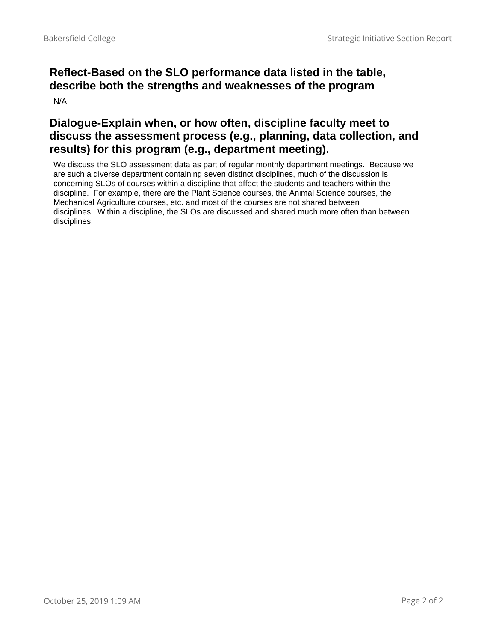# **Reflect-Based on the SLO performance data listed in the table, describe both the strengths and weaknesses of the program**

N/A

### **Dialogue-Explain when, or how often, discipline faculty meet to discuss the assessment process (e.g., planning, data collection, and results) for this program (e.g., department meeting).**

We discuss the SLO assessment data as part of regular monthly department meetings. Because we are such a diverse department containing seven distinct disciplines, much of the discussion is concerning SLOs of courses within a discipline that affect the students and teachers within the discipline. For example, there are the Plant Science courses, the Animal Science courses, the Mechanical Agriculture courses, etc. and most of the courses are not shared between disciplines. Within a discipline, the SLOs are discussed and shared much more often than between disciplines.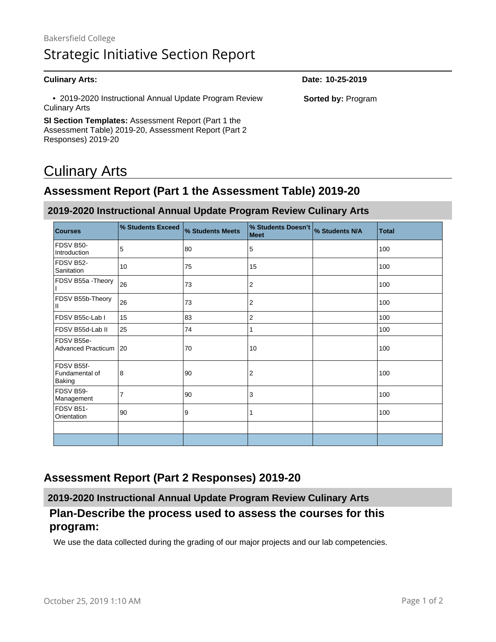#### **Culinary Arts: Date: 10-25-2019** • 2019-2020 Instructional Annual Update Program Review Culinary Arts **SI Section Templates:** Assessment Report (Part 1 the Assessment Table) 2019-20, Assessment Report (Part 2 Responses) 2019-20 **Sorted by:** Program

# Culinary Arts

# **Assessment Report (Part 1 the Assessment Table) 2019-20**

#### **2019-2020 Instructional Annual Update Program Review Culinary Arts**

| <b>Courses</b>                                | % Students Exceed | % Students Meets | % Students Doesn't<br>Meet | % Students N/A | <b>Total</b> |
|-----------------------------------------------|-------------------|------------------|----------------------------|----------------|--------------|
| FDSV B50-<br>Introduction                     | 5                 | 80               | 5                          |                | 100          |
| FDSV B52-<br>Sanitation                       | 10                | 75               | 15                         |                | 100          |
| FDSV B55a - Theory                            | 26                | 73               | 2                          |                | 100          |
| FDSV B55b-Theory<br>Ш                         | 26                | 73               | 2                          |                | 100          |
| FDSV B55c-Lab I                               | 15                | 83               | 2                          |                | 100          |
| FDSV B55d-Lab II                              | 25                | 74               | 1                          |                | 100          |
| FDSV B55e-<br><b>Advanced Practicum</b>       | 20                | 70               | 10                         |                | 100          |
| FDSV B55f-<br>Fundamental of<br><b>Baking</b> | 8                 | 90               | 2                          |                | 100          |
| FDSV B59-<br>Management                       | $\overline{7}$    | 90               | 3                          |                | 100          |
| FDSV B51-<br>Orientation                      | 90                | 9                |                            |                | 100          |
|                                               |                   |                  |                            |                |              |
|                                               |                   |                  |                            |                |              |

#### **Assessment Report (Part 2 Responses) 2019-20**

**2019-2020 Instructional Annual Update Program Review Culinary Arts**

### **Plan-Describe the process used to assess the courses for this program:**

We use the data collected during the grading of our major projects and our lab competencies.